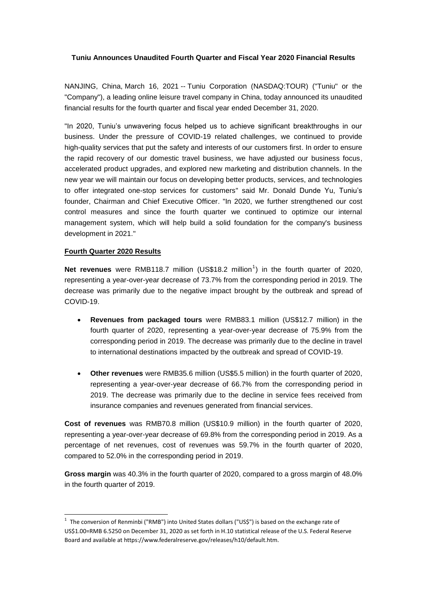## **Tuniu Announces Unaudited Fourth Quarter and Fiscal Year 2020 Financial Results**

NANJING, China, March 16, 2021 -- Tuniu Corporation (NASDAQ:TOUR) ("Tuniu" or the "Company"), a leading online leisure travel company in China, today announced its unaudited financial results for the fourth quarter and fiscal year ended December 31, 2020.

"In 2020, Tuniu's unwavering focus helped us to achieve significant breakthroughs in our business. Under the pressure of COVID-19 related challenges, we continued to provide high-quality services that put the safety and interests of our customers first. In order to ensure the rapid recovery of our domestic travel business, we have adjusted our business focus, accelerated product upgrades, and explored new marketing and distribution channels. In the new year we will maintain our focus on developing better products, services, and technologies to offer integrated one-stop services for customers" said Mr. Donald Dunde Yu, Tuniu's founder, Chairman and Chief Executive Officer. "In 2020, we further strengthened our cost control measures and since the fourth quarter we continued to optimize our internal management system, which will help build a solid foundation for the company's business development in 2021."

## **Fourth Quarter 2020 Results**

-

Net revenues were RMB118.7 million (US\$18.2 million<sup>1</sup>) in the fourth quarter of 2020, representing a year-over-year decrease of 73.7% from the corresponding period in 2019. The decrease was primarily due to the negative impact brought by the outbreak and spread of COVID-19.

- **Revenues from packaged tours** were RMB83.1 million (US\$12.7 million) in the fourth quarter of 2020, representing a year-over-year decrease of 75.9% from the corresponding period in 2019. The decrease was primarily due to the decline in travel to international destinations impacted by the outbreak and spread of COVID-19.
- **Other revenues** were RMB35.6 million (US\$5.5 million) in the fourth quarter of 2020, representing a year-over-year decrease of 66.7% from the corresponding period in 2019. The decrease was primarily due to the decline in service fees received from insurance companies and revenues generated from financial services.

**Cost of revenues** was RMB70.8 million (US\$10.9 million) in the fourth quarter of 2020, representing a year-over-year decrease of 69.8% from the corresponding period in 2019. As a percentage of net revenues, cost of revenues was 59.7% in the fourth quarter of 2020, compared to 52.0% in the corresponding period in 2019.

**Gross margin** was 40.3% in the fourth quarter of 2020, compared to a gross margin of 48.0% in the fourth quarter of 2019.

<sup>&</sup>lt;sup>1</sup> The conversion of Renminbi ("RMB") into United States dollars ("US\$") is based on the exchange rate of US\$1.00=RMB 6.5250 on December 31, 2020 as set forth in H.10 statistical release of the U.S. Federal Reserve Board and available at https://www.federalreserve.gov/releases/h10/default.htm.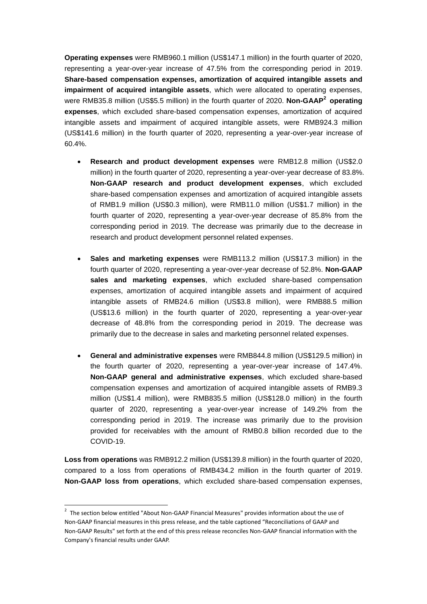**Operating expenses** were RMB960.1 million (US\$147.1 million) in the fourth quarter of 2020, representing a year-over-year increase of 47.5% from the corresponding period in 2019. **Share-based compensation expenses, amortization of acquired intangible assets and impairment of acquired intangible assets**, which were allocated to operating expenses, were RMB35.8 million (US\$5.5 million) in the fourth quarter of 2020. **Non-GAAP<sup>2</sup> operating expenses**, which excluded share-based compensation expenses, amortization of acquired intangible assets and impairment of acquired intangible assets, were RMB924.3 million (US\$141.6 million) in the fourth quarter of 2020, representing a year-over-year increase of 60.4%.

- **Research and product development expenses** were RMB12.8 million (US\$2.0 million) in the fourth quarter of 2020, representing a year-over-year decrease of 83.8%. **Non-GAAP research and product development expenses**, which excluded share-based compensation expenses and amortization of acquired intangible assets of RMB1.9 million (US\$0.3 million), were RMB11.0 million (US\$1.7 million) in the fourth quarter of 2020, representing a year-over-year decrease of 85.8% from the corresponding period in 2019. The decrease was primarily due to the decrease in research and product development personnel related expenses.
- **Sales and marketing expenses** were RMB113.2 million (US\$17.3 million) in the fourth quarter of 2020, representing a year-over-year decrease of 52.8%. **Non-GAAP sales and marketing expenses**, which excluded share-based compensation expenses, amortization of acquired intangible assets and impairment of acquired intangible assets of RMB24.6 million (US\$3.8 million), were RMB88.5 million (US\$13.6 million) in the fourth quarter of 2020, representing a year-over-year decrease of 48.8% from the corresponding period in 2019. The decrease was primarily due to the decrease in sales and marketing personnel related expenses.
- **General and administrative expenses** were RMB844.8 million (US\$129.5 million) in the fourth quarter of 2020, representing a year-over-year increase of 147.4%. **Non-GAAP general and administrative expenses**, which excluded share-based compensation expenses and amortization of acquired intangible assets of RMB9.3 million (US\$1.4 million), were RMB835.5 million (US\$128.0 million) in the fourth quarter of 2020, representing a year-over-year increase of 149.2% from the corresponding period in 2019. The increase was primarily due to the provision provided for receivables with the amount of RMB0.8 billion recorded due to the COVID-19.

**Loss from operations** was RMB912.2 million (US\$139.8 million) in the fourth quarter of 2020, compared to a loss from operations of RMB434.2 million in the fourth quarter of 2019. **Non-GAAP loss from operations**, which excluded share-based compensation expenses,

-

 $2$  The section below entitled "About Non-GAAP Financial Measures" provides information about the use of Non-GAAP financial measures in this press release, and the table captioned "Reconciliations of GAAP and Non-GAAP Results" set forth at the end of this press release reconciles Non-GAAP financial information with the Company's financial results under GAAP.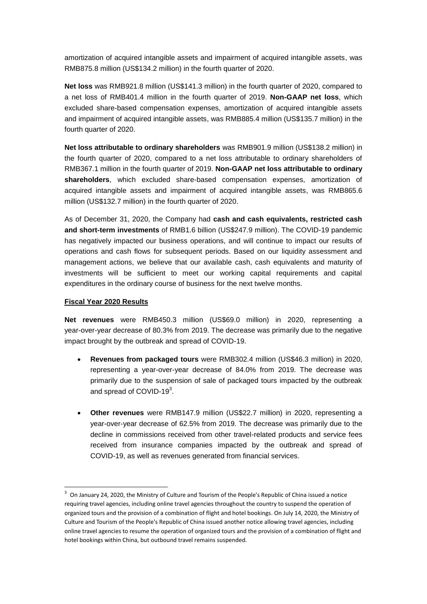amortization of acquired intangible assets and impairment of acquired intangible assets, was RMB875.8 million (US\$134.2 million) in the fourth quarter of 2020.

**Net loss** was RMB921.8 million (US\$141.3 million) in the fourth quarter of 2020, compared to a net loss of RMB401.4 million in the fourth quarter of 2019. **Non-GAAP net loss**, which excluded share-based compensation expenses, amortization of acquired intangible assets and impairment of acquired intangible assets, was RMB885.4 million (US\$135.7 million) in the fourth quarter of 2020.

**Net loss attributable to ordinary shareholders** was RMB901.9 million (US\$138.2 million) in the fourth quarter of 2020, compared to a net loss attributable to ordinary shareholders of RMB367.1 million in the fourth quarter of 2019. **Non-GAAP net loss attributable to ordinary shareholders**, which excluded share-based compensation expenses, amortization of acquired intangible assets and impairment of acquired intangible assets, was RMB865.6 million (US\$132.7 million) in the fourth quarter of 2020.

As of December 31, 2020, the Company had **cash and cash equivalents, restricted cash and short-term investments** of RMB1.6 billion (US\$247.9 million). The COVID-19 pandemic has negatively impacted our business operations, and will continue to impact our results of operations and cash flows for subsequent periods. Based on our liquidity assessment and management actions, we believe that our available cash, cash equivalents and maturity of investments will be sufficient to meet our working capital requirements and capital expenditures in the ordinary course of business for the next twelve months.

### **Fiscal Year 2020 Results**

-

**Net revenues** were RMB450.3 million (US\$69.0 million) in 2020, representing a year-over-year decrease of 80.3% from 2019. The decrease was primarily due to the negative impact brought by the outbreak and spread of COVID-19.

- **Revenues from packaged tours** were RMB302.4 million (US\$46.3 million) in 2020, representing a year-over-year decrease of 84.0% from 2019. The decrease was primarily due to the suspension of sale of packaged tours impacted by the outbreak and spread of COVID-19 $^3$ .
- **Other revenues** were RMB147.9 million (US\$22.7 million) in 2020, representing a year-over-year decrease of 62.5% from 2019. The decrease was primarily due to the decline in commissions received from other travel-related products and service fees received from insurance companies impacted by the outbreak and spread of COVID-19, as well as revenues generated from financial services.

<sup>&</sup>lt;sup>3</sup> On January 24, 2020, the Ministry of Culture and Tourism of the People's Republic of China issued a notice requiring travel agencies, including online travel agencies throughout the country to suspend the operation of organized tours and the provision of a combination of flight and hotel bookings. On July 14, 2020, the Ministry of Culture and Tourism of the People's Republic of China issued another notice allowing travel agencies, including online travel agencies to resume the operation of organized tours and the provision of a combination of flight and hotel bookings within China, but outbound travel remains suspended.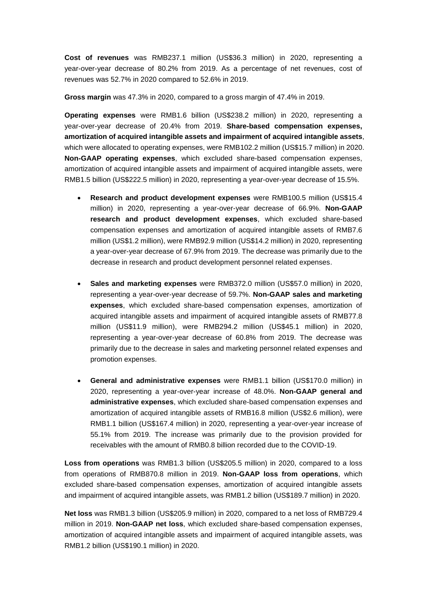**Cost of revenues** was RMB237.1 million (US\$36.3 million) in 2020, representing a year-over-year decrease of 80.2% from 2019. As a percentage of net revenues, cost of revenues was 52.7% in 2020 compared to 52.6% in 2019.

**Gross margin** was 47.3% in 2020, compared to a gross margin of 47.4% in 2019.

**Operating expenses** were RMB1.6 billion (US\$238.2 million) in 2020, representing a year-over-year decrease of 20.4% from 2019. **Share-based compensation expenses, amortization of acquired intangible assets and impairment of acquired intangible assets**, which were allocated to operating expenses, were RMB102.2 million (US\$15.7 million) in 2020. **Non-GAAP operating expenses**, which excluded share-based compensation expenses, amortization of acquired intangible assets and impairment of acquired intangible assets, were RMB1.5 billion (US\$222.5 million) in 2020, representing a year-over-year decrease of 15.5%.

- **Research and product development expenses** were RMB100.5 million (US\$15.4 million) in 2020, representing a year-over-year decrease of 66.9%. **Non-GAAP research and product development expenses**, which excluded share-based compensation expenses and amortization of acquired intangible assets of RMB7.6 million (US\$1.2 million), were RMB92.9 million (US\$14.2 million) in 2020, representing a year-over-year decrease of 67.9% from 2019. The decrease was primarily due to the decrease in research and product development personnel related expenses.
- **Sales and marketing expenses** were RMB372.0 million (US\$57.0 million) in 2020, representing a year-over-year decrease of 59.7%. **Non-GAAP sales and marketing expenses**, which excluded share-based compensation expenses, amortization of acquired intangible assets and impairment of acquired intangible assets of RMB77.8 million (US\$11.9 million), were RMB294.2 million (US\$45.1 million) in 2020, representing a year-over-year decrease of 60.8% from 2019. The decrease was primarily due to the decrease in sales and marketing personnel related expenses and promotion expenses.
- **General and administrative expenses** were RMB1.1 billion (US\$170.0 million) in 2020, representing a year-over-year increase of 48.0%. **Non-GAAP general and administrative expenses**, which excluded share-based compensation expenses and amortization of acquired intangible assets of RMB16.8 million (US\$2.6 million), were RMB1.1 billion (US\$167.4 million) in 2020, representing a year-over-year increase of 55.1% from 2019. The increase was primarily due to the provision provided for receivables with the amount of RMB0.8 billion recorded due to the COVID-19.

**Loss from operations** was RMB1.3 billion (US\$205.5 million) in 2020, compared to a loss from operations of RMB870.8 million in 2019. **Non-GAAP loss from operations**, which excluded share-based compensation expenses, amortization of acquired intangible assets and impairment of acquired intangible assets, was RMB1.2 billion (US\$189.7 million) in 2020.

**Net loss** was RMB1.3 billion (US\$205.9 million) in 2020, compared to a net loss of RMB729.4 million in 2019. **Non-GAAP net loss**, which excluded share-based compensation expenses, amortization of acquired intangible assets and impairment of acquired intangible assets, was RMB1.2 billion (US\$190.1 million) in 2020.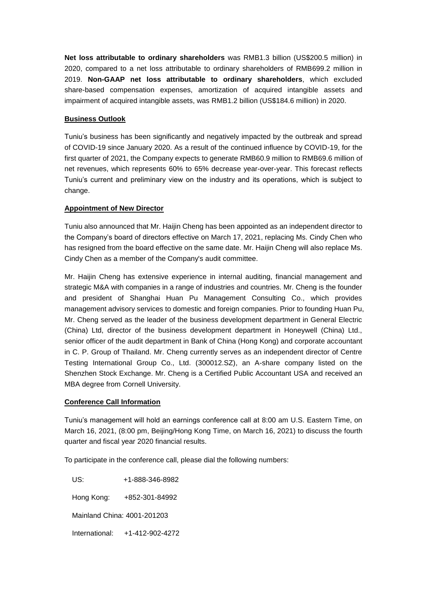**Net loss attributable to ordinary shareholders** was RMB1.3 billion (US\$200.5 million) in 2020, compared to a net loss attributable to ordinary shareholders of RMB699.2 million in 2019. **Non-GAAP net loss attributable to ordinary shareholders**, which excluded share-based compensation expenses, amortization of acquired intangible assets and impairment of acquired intangible assets, was RMB1.2 billion (US\$184.6 million) in 2020.

## **Business Outlook**

Tuniu's business has been significantly and negatively impacted by the outbreak and spread of COVID-19 since January 2020. As a result of the continued influence by COVID-19, for the first quarter of 2021, the Company expects to generate RMB60.9 million to RMB69.6 million of net revenues, which represents 60% to 65% decrease year-over-year. This forecast reflects Tuniu's current and preliminary view on the industry and its operations, which is subject to change.

# **Appointment of New Director**

Tuniu also announced that Mr. Haijin Cheng has been appointed as an independent director to the Company's board of directors effective on March 17, 2021, replacing Ms. Cindy Chen who has resigned from the board effective on the same date. Mr. Haijin Cheng will also replace Ms. Cindy Chen as a member of the Company's audit committee.

Mr. Haijin Cheng has extensive experience in internal auditing, financial management and strategic M&A with companies in a range of industries and countries. Mr. Cheng is the founder and president of Shanghai Huan Pu Management Consulting Co., which provides management advisory services to domestic and foreign companies. Prior to founding Huan Pu, Mr. Cheng served as the leader of the business development department in General Electric (China) Ltd, director of the business development department in Honeywell (China) Ltd., senior officer of the audit department in Bank of China (Hong Kong) and corporate accountant in C. P. Group of Thailand. Mr. Cheng currently serves as an independent director of Centre Testing International Group Co., Ltd. (300012.SZ), an A-share company listed on the Shenzhen Stock Exchange. Mr. Cheng is a Certified Public Accountant USA and received an MBA degree from Cornell University.

## **Conference Call Information**

Tuniu's management will hold an earnings conference call at 8:00 am U.S. Eastern Time, on March 16, 2021, (8:00 pm, Beijing/Hong Kong Time, on March 16, 2021) to discuss the fourth quarter and fiscal year 2020 financial results.

To participate in the conference call, please dial the following numbers:

US: +1-888-346-8982 Hong Kong: +852-301-84992 Mainland China: 4001-201203 International: +1-412-902-4272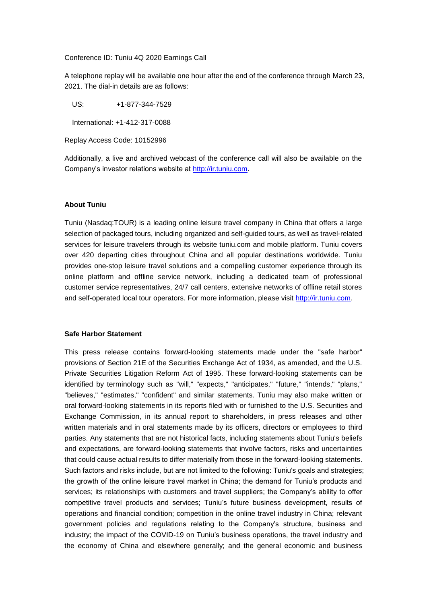Conference ID: Tuniu 4Q 2020 Earnings Call

A telephone replay will be available one hour after the end of the conference through March 23, 2021. The dial-in details are as follows:

US: +1-877-344-7529 International: +1-412-317-0088

Replay Access Code: 10152996

Additionally, a live and archived webcast of the conference call will also be available on the Company's investor relations website at [http://ir.tuniu.com.](http://ir.tuniu.com/)

#### **About Tuniu**

Tuniu (Nasdaq:TOUR) is a leading online leisure travel company in China that offers a large selection of packaged tours, including organized and self-guided tours, as well as travel-related services for leisure travelers through its website tuniu.com and mobile platform. Tuniu covers over 420 departing cities throughout China and all popular destinations worldwide. Tuniu provides one-stop leisure travel solutions and a compelling customer experience through its online platform and offline service network, including a dedicated team of professional customer service representatives, 24/7 call centers, extensive networks of offline retail stores and self-operated local tour operators. For more information, please visit [http://ir.tuniu.com.](http://ir.tuniu.com/)

#### **Safe Harbor Statement**

This press release contains forward-looking statements made under the "safe harbor" provisions of Section 21E of the Securities Exchange Act of 1934, as amended, and the U.S. Private Securities Litigation Reform Act of 1995. These forward-looking statements can be identified by terminology such as "will," "expects," "anticipates," "future," "intends," "plans," "believes," "estimates," "confident" and similar statements. Tuniu may also make written or oral forward-looking statements in its reports filed with or furnished to the U.S. Securities and Exchange Commission, in its annual report to shareholders, in press releases and other written materials and in oral statements made by its officers, directors or employees to third parties. Any statements that are not historical facts, including statements about Tuniu's beliefs and expectations, are forward-looking statements that involve factors, risks and uncertainties that could cause actual results to differ materially from those in the forward-looking statements. Such factors and risks include, but are not limited to the following: Tuniu's goals and strategies; the growth of the online leisure travel market in China; the demand for Tuniu's products and services; its relationships with customers and travel suppliers; the Company's ability to offer competitive travel products and services; Tuniu's future business development, results of operations and financial condition; competition in the online travel industry in China; relevant government policies and regulations relating to the Company's structure, business and industry; the impact of the COVID-19 on Tuniu's business operations, the travel industry and the economy of China and elsewhere generally; and the general economic and business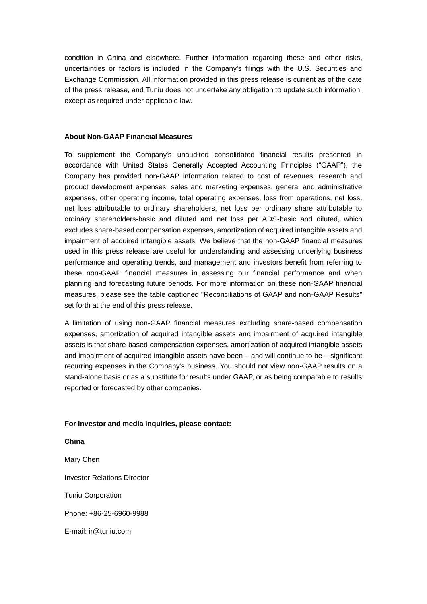condition in China and elsewhere. Further information regarding these and other risks, uncertainties or factors is included in the Company's filings with the U.S. Securities and Exchange Commission. All information provided in this press release is current as of the date of the press release, and Tuniu does not undertake any obligation to update such information, except as required under applicable law.

### **About Non-GAAP Financial Measures**

To supplement the Company's unaudited consolidated financial results presented in accordance with United States Generally Accepted Accounting Principles ("GAAP"), the Company has provided non-GAAP information related to cost of revenues, research and product development expenses, sales and marketing expenses, general and administrative expenses, other operating income, total operating expenses, loss from operations, net loss, net loss attributable to ordinary shareholders, net loss per ordinary share attributable to ordinary shareholders-basic and diluted and net loss per ADS-basic and diluted, which excludes share-based compensation expenses, amortization of acquired intangible assets and impairment of acquired intangible assets. We believe that the non-GAAP financial measures used in this press release are useful for understanding and assessing underlying business performance and operating trends, and management and investors benefit from referring to these non-GAAP financial measures in assessing our financial performance and when planning and forecasting future periods. For more information on these non-GAAP financial measures, please see the table captioned "Reconciliations of GAAP and non-GAAP Results" set forth at the end of this press release.

A limitation of using non-GAAP financial measures excluding share-based compensation expenses, amortization of acquired intangible assets and impairment of acquired intangible assets is that share-based compensation expenses, amortization of acquired intangible assets and impairment of acquired intangible assets have been – and will continue to be – significant recurring expenses in the Company's business. You should not view non-GAAP results on a stand-alone basis or as a substitute for results under GAAP, or as being comparable to results reported or forecasted by other companies.

## **For investor and media inquiries, please contact:**

**China** 

Mary Chen

Investor Relations Director

Tuniu Corporation

Phone: +86-25-6960-9988

E-mail: [ir@tuniu.com](mailto:ir@tuniu.com)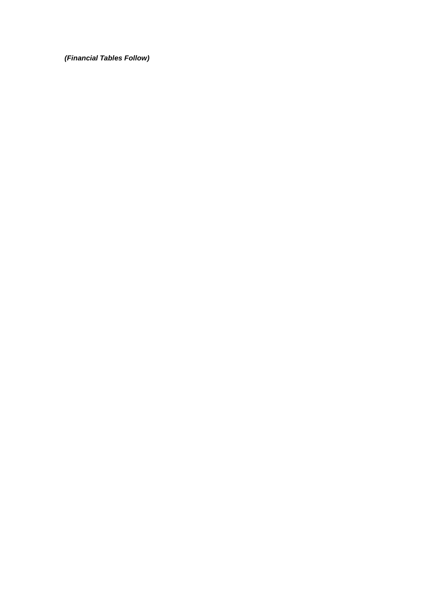*(Financial Tables Follow)*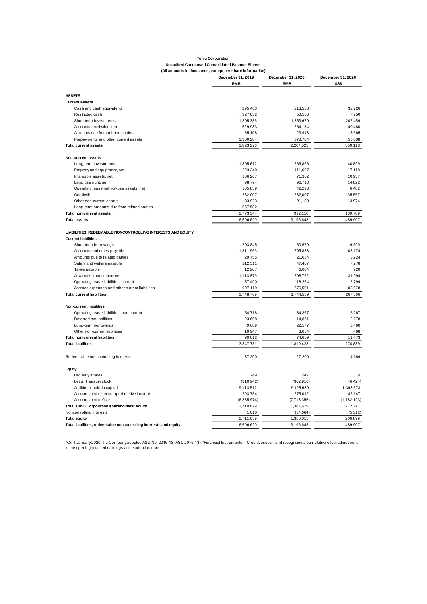#### **Tuniu Corporation Unaudited Condensed Consolidated Balance Sheets (All amounts in thousands, except per share information)**

|                                                                   | December 31, 2019 | December 31, 2020 | December 31, 2020 |
|-------------------------------------------------------------------|-------------------|-------------------|-------------------|
|                                                                   | <b>RMB</b>        | <b>RMB</b>        | US\$              |
| <b>ASSETS</b>                                                     |                   |                   |                   |
| <b>Current assets</b>                                             |                   |                   |                   |
| Cash and cash equivalents                                         | 295,463           | 213,538           | 32,726            |
| Restricted cash                                                   | 327,052           | 50,566            | 7,750             |
| Short-term investments                                            | 1,305,386         | 1,353,670         | 207,459           |
| Accounts receivable, net                                          | 529,983           | 264,134           | 40,480            |
| Amounts due from related parties                                  | 65,108            | 23,913            | 3,665             |
| Prepayments and other current assets                              | 1,300,284         | 378,704           | 58,038            |
| <b>Total current assets</b>                                       | 3,823,276         | 2,284,525         | 350,118           |
|                                                                   |                   |                   |                   |
| Non-current assets                                                |                   |                   |                   |
| Long-term investments                                             | 1,305,612         | 266,866           | 40,899            |
| Property and equipment, net                                       | 223,340           | 111,697           | 17,118            |
| Intangible assets, net                                            | 166,267           | 71,362            | 10,937            |
| Land use right, net                                               | 98,774            | 96,713            | 14,822            |
| Operating lease right-of-use assets, net                          | 105,839           | 42,293            | 6,482             |
| Goodwill                                                          | 232,007           | 232,007           | 35,557            |
| Other non-current assets                                          | 83,923            | 91,180            | 13,974            |
| Long-term amounts due from related parties                        | 557,582           |                   |                   |
| <b>Total non-current assets</b>                                   | 2,773,344         | 912,118           | 139,789           |
| <b>Total assets</b>                                               | 6,596,620         | 3,196,643         | 489,907           |
| LIABILITIES, REDEEMABLE NONCONTROLLING INTERESTS AND EQUITY       |                   |                   |                   |
| <b>Current liabilities</b>                                        |                   |                   |                   |
| Short-term borrowings                                             | 203,845           | 60,679            | 9,299             |
| Accounts and notes payable                                        | 1,311,963         | 705,838           | 108,174           |
| Amounts due to related parties                                    | 29,755            | 21,034            | 3,224             |
| Salary and welfare payable                                        | 112,511           | 47,487            | 7,278             |
| Taxes payable                                                     | 12,207            | 6,004             | 920               |
| Advances from customers                                           | 1,113,879         | 208,762           | 31,994            |
| Operating lease liabilities, current                              | 57,490            | 18,264            | 2,799             |
| Accrued expenses and other current liabilities                    | 907,119           | 676,501           | 103,678           |
| <b>Total current liabilities</b>                                  | 3,748,769         | 1,744,569         | 267,366           |
| <b>Non-current liabilities</b>                                    |                   |                   |                   |
|                                                                   |                   |                   |                   |
| Operating lease liabilities, non-current                          | 54,718            | 34,367            | 5,267             |
| Deferred tax liabilities                                          | 23,658            | 14,861            | 2,278             |
| Long-term borrowings<br>Other non-current liabilities             | 9,689             | 22,577            | 3,460             |
| <b>Total non-current liabilities</b>                              | 10,947            | 3,054             | 468               |
|                                                                   | 99,012            | 74,859            | 11,473            |
| <b>Total liabilities</b>                                          | 3,847,781         | 1,819,428         | 278,839           |
| Redeemable noncontrolling interests                               | 37,200            | 27,200            | 4,169             |
| <b>Equity</b>                                                     |                   |                   |                   |
| Ordinary shares                                                   | 249               | 249               | 38                |
| Less: Treasury stock                                              | (310, 942)        | (302, 916)        | (46, 424)         |
| Additional paid-in capital                                        | 9,113,512         | 9,125,689         | 1,398,573         |
| Accumulated other comprehensive income                            | 293,784           | 275,012           | 42,147            |
| Accumulated deficit*                                              | (6, 385, 974)     | (7,713,355)       | (1, 182, 123)     |
| Total Tuniu Corporation shareholders' equity                      | 2,710,629         | 1,384,679         | 212,211           |
| Noncontrolling interests                                          | 1,010             | (34, 664)         | (5,312)           |
| <b>Total equity</b>                                               | 2,711,639         | 1,350,015         | 206,899           |
| Total liabilities, redeemable noncontrolling interests and equity | 6,596,620         | 3,196,643         | 489,907           |

\*On 1 January 2020, the Company adopted ASU No. 2016-13 (ASU 2016-13), "Financial Instruments – Credit Losses", and recognized a cumulative-effect adjustment to the opening retained earnings at the adoption date.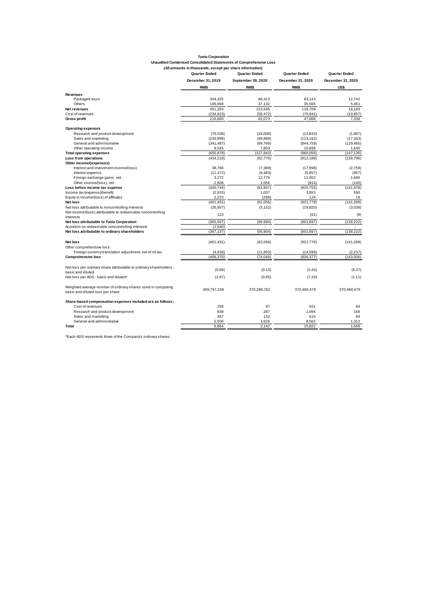|                                                                                                  | (All amounts in thousands, except per share information)<br><b>Quarter Ended</b> | <b>Quarter Ended</b> | <b>Quarter Ended</b> | Quarter Ended     |
|--------------------------------------------------------------------------------------------------|----------------------------------------------------------------------------------|----------------------|----------------------|-------------------|
|                                                                                                  | December 31, 2019                                                                | September 30, 2020   | December 31, 2020    | December 31, 2020 |
|                                                                                                  | <b>RMB</b>                                                                       | <b>RMB</b>           | <b>RMB</b>           | US\$              |
| <b>Revenues</b>                                                                                  |                                                                                  |                      |                      |                   |
| Packaged tours                                                                                   | 344,325                                                                          | 86.413               | 83.143               | 12.742            |
| Others                                                                                           | 106,958                                                                          | 37,132               | 35,566               | 5,451             |
| Net revenues                                                                                     | 451,283                                                                          | 123,545              | 118,709              | 18,193            |
| Cost of revenues                                                                                 | (234, 623)                                                                       | (58, 472)            | (70, 841)            | (10, 857)         |
| Gross profit                                                                                     | 216,660                                                                          | 65,073               | 47,868               | 7,336             |
| <b>Operating expenses</b>                                                                        |                                                                                  |                      |                      |                   |
| Research and product development                                                                 | (79, 038)                                                                        | (16,008)             | (12, 833)            | (1,967)           |
| Sales and marketing                                                                              | (239, 898)                                                                       | (49, 869)            | (113, 162)           | (17, 343)         |
| General and administrative                                                                       | (341, 487)                                                                       | (69, 769)            | (844, 759)           | (129, 465)        |
| Other operating income                                                                           | 9,545                                                                            | 7,803                | 10,698               | 1,640             |
| <b>Total operating expenses</b>                                                                  | (650, 878)                                                                       | (127, 843)           | (960, 056)           | (147, 135)        |
| Loss from operations                                                                             | (434, 218)                                                                       | (62, 770)            | (912, 188)           | (139,799)         |
| Other income/(expenses)                                                                          |                                                                                  |                      |                      |                   |
| Interest and investment income/(loss)                                                            | 38.766                                                                           | (7, 389)             | (17,998)             | (2,758)           |
| Interest expense                                                                                 | (11, 372)                                                                        | (6, 483)             | (5,657)              | (867)             |
| Foreign exchange gains, net                                                                      | 3,272                                                                            | 12,779               | 11,002               | 1.686             |
| Other income/(loss), net                                                                         | 2,808                                                                            | 1,056                | (914)                | (140)             |
| Loss before income tax expense                                                                   | (400, 744)                                                                       | (62, 807)            | (925, 755)           | (141, 878)        |
| Income tax (expense)/benefit                                                                     | (2,910)                                                                          | 1,037                | 3,853                | 590               |
| Equity in income/(loss) of affiliates                                                            | 2,223                                                                            | (286)                | 124                  | 19                |
| <b>Net loss</b>                                                                                  | (401, 431)                                                                       | (62,056)             | (921, 778)           | (141, 269)        |
| Net loss attributable to noncontrolling interests                                                | (35, 957)                                                                        | (5, 152)             | (19, 820)            | (3,038)           |
| Net income/(loss) attributable to redeemable noncontrolling<br>interests                         | 123                                                                              | í,                   | (61)                 | (9)               |
| Net loss attributable to Tuniu Corporation                                                       | (365, 597)                                                                       | (56, 904)            | (901, 897)           | (138, 222)        |
| Accretion on redeemable noncontrolling interests                                                 | (1,540)                                                                          | $\overline{a}$       |                      |                   |
| Net loss attributable to ordinary shareholders                                                   | (367, 137)                                                                       | (56, 904)            | (901, 897)           | (138, 222)        |
| <b>Net loss</b><br>Other comprehensive loss:                                                     | (401, 431)                                                                       | (62,056)             | (921, 778)           | (141, 269)        |
| Foreign currency translation adjustment, net of nil tax                                          | (4,939)                                                                          | (11, 993)            | (14, 599)            | (2, 237)          |
| <b>Comprehensive loss</b>                                                                        | (406, 370)                                                                       | (74, 049)            | (936, 377)           | (143,506)         |
|                                                                                                  |                                                                                  |                      |                      |                   |
| Net loss per ordinary share attributable to ordinary shareholders -<br>basic and diluted         | (0.99)                                                                           | (0.15)               | (2.43)               | (0.37)            |
| Net loss per ADS - basic and diluted*                                                            | (2.97)                                                                           | (0.45)               | (7.29)               | (1.11)            |
| Weighted average number of ordinary shares used in computing<br>basic and diluted loss per share | 369,797,249                                                                      | 370,298,762          | 370,460,479          | 370,460,479       |
| Share-based compensation expenses included are as follows:                                       |                                                                                  |                      |                      |                   |
| Cost of revenues                                                                                 | 258                                                                              | 97                   | 551                  | 84                |
| Research and product development                                                                 | 839                                                                              | 287                  | 1,094                | 168               |
| Sales and marketing                                                                              | 267                                                                              | 132                  | 615                  | 94                |
| General and administrative                                                                       | 5,500                                                                            | 1,626                | 8,562                | 1.312             |

**Total** 6,864 2,142 10,822 2,142 2,142 2,142 2,1558

#### **Tuniu Corporation Unaudited Condensed Consolidated Statements of Comprehensive Loss**

\*Each ADS represents three of the Company's ordinary shares.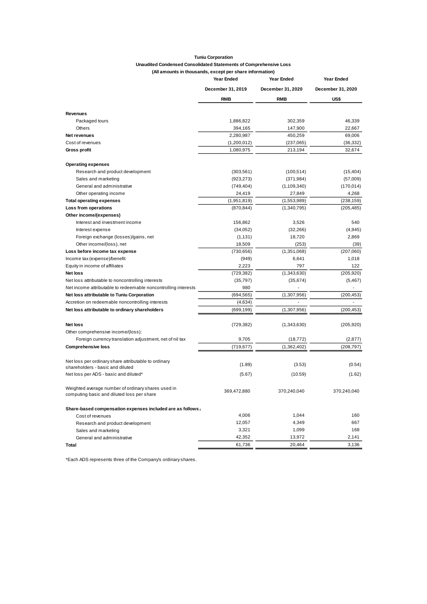#### **Tuniu Corporation Unaudited Condensed Consolidated Statements of Comprehensive Loss**

|                                                                                                  | (All amounts in thousands, except per share information) |                   |                     |
|--------------------------------------------------------------------------------------------------|----------------------------------------------------------|-------------------|---------------------|
|                                                                                                  | <b>Year Ended</b>                                        | Year Ended        |                     |
|                                                                                                  | December 31, 2019                                        | December 31, 2020 | December 31, 2020   |
|                                                                                                  | <b>RMB</b>                                               | <b>RMB</b>        | US\$                |
|                                                                                                  |                                                          |                   |                     |
| <b>Revenues</b>                                                                                  |                                                          | 302,359           |                     |
| Packaged tours<br>Others                                                                         | 1,886,822                                                | 147,900           | 46,339              |
| Net revenues                                                                                     | 394,165<br>2,280,987                                     | 450,259           | 22,667<br>69,006    |
| Cost of revenues                                                                                 |                                                          |                   |                     |
|                                                                                                  | (1,200,012)                                              | (237,065)         | (36, 332)<br>32,674 |
| Gross profit                                                                                     | 1,080,975                                                | 213,194           |                     |
| <b>Operating expenses</b>                                                                        |                                                          |                   |                     |
| Research and product development                                                                 | (303, 561)                                               | (100, 514)        | (15, 404)           |
| Sales and marketing                                                                              | (923, 273)                                               | (371, 984)        | (57,009)            |
| General and administrative                                                                       | (749, 404)                                               | (1,109,340)       | (170, 014)          |
| Other operating income                                                                           | 24,419                                                   | 27,849            | 4,268               |
| <b>Total operating expenses</b>                                                                  | (1,951,819)                                              | (1,553,989)       | (238, 159)          |
| Loss from operations                                                                             | (870,844)                                                | (1,340,795)       | (205, 485)          |
| Other income/(expenses)                                                                          |                                                          |                   |                     |
| Interest and investment income                                                                   | 156,862                                                  | 3,526             | 540                 |
| Interest expense                                                                                 | (34, 052)                                                | (32, 266)         | (4, 945)            |
| Foreign exchange (losses)/gains, net                                                             | (1, 131)                                                 | 18,720            | 2,869               |
| Other income/(loss), net                                                                         | 18,509                                                   | (253)             | (39)                |
| Loss before income tax expense                                                                   | (730, 656)                                               | (1,351,068)       | (207,060)           |
| Income tax (expense)/benefit                                                                     | (949)                                                    | 6,641             | 1,018               |
| Equity in income of affiliates                                                                   | 2,223                                                    | 797               | 122                 |
| <b>Net loss</b>                                                                                  | (729, 382)                                               | (1,343,630)       | (205, 920)          |
| Net loss attributable to noncontrolling interests                                                | (35, 797)                                                | (35, 674)         | (5, 467)            |
| Net income attributable to redeemable noncontrolling interests                                   | 980                                                      |                   |                     |
| Net loss attributable to Tuniu Corporation                                                       | (694, 565)                                               | (1,307,956)       | (200, 453)          |
| Accretion on redeemable noncontrolling interests                                                 | (4,634)                                                  |                   |                     |
| Net loss attributable to ordinary shareholders                                                   | (699, 199)                                               | (1,307,956)       | (200, 453)          |
| <b>Net loss</b>                                                                                  | (729, 382)                                               | (1,343,630)       | (205, 920)          |
| Other comprehensive income/(loss):                                                               |                                                          |                   |                     |
| Foreign currency translation adjustment, net of nil tax                                          | 9,705                                                    | (18, 772)         | (2, 877)            |
| <b>Comprehensive loss</b>                                                                        | (719, 677)                                               | (1,362,402)       | (208, 797)          |
|                                                                                                  |                                                          |                   |                     |
| Net loss per ordinary share attributable to ordinary                                             | (1.89)                                                   | (3.53)            | (0.54)              |
| shareholders - basic and diluted                                                                 |                                                          |                   |                     |
| Net loss per ADS - basic and diluted*                                                            | (5.67)                                                   | (10.59)           | (1.62)              |
| Weighted average number of ordinary shares used in<br>computing basic and diluted loss per share | 369,472,880                                              | 370,240,040       | 370,240,040         |
| Share-based compensation expenses included are as follows:                                       |                                                          |                   |                     |
| Cost of revenues                                                                                 | 4,006                                                    | 1,044             | 160                 |
| Research and product development                                                                 | 12,057                                                   | 4,349             | 667                 |
| Sales and marketing                                                                              | 3,321                                                    | 1,099             | 168                 |
| General and administrative                                                                       | 42,352                                                   | 13,972            | 2,141               |
| Total                                                                                            | 61,736                                                   | 20,464            | 3,136               |

\*Each ADS represents three of the Company's ordinary shares.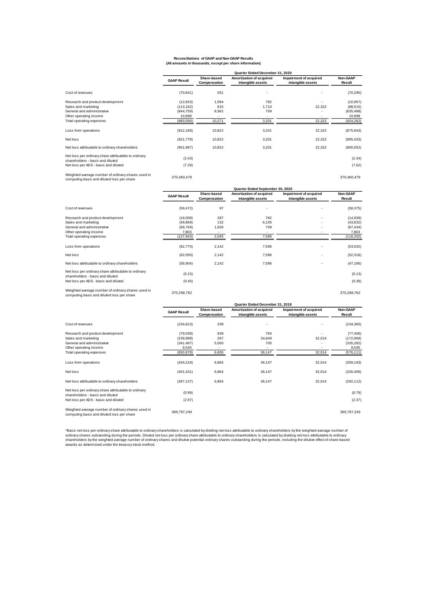### **Reconciliations of GAAP and Non-GAAP Results (All amounts in thousands, except per share information)**

|                                                                                          | Quarter Ended December 31, 2020 |                             |                                               |                                             |                    |  |  |
|------------------------------------------------------------------------------------------|---------------------------------|-----------------------------|-----------------------------------------------|---------------------------------------------|--------------------|--|--|
|                                                                                          | <b>GAAP Result</b>              | Share-based<br>Compensation | Amortization of acquired<br>intangible assets | Impairment of acquired<br>intangible assets | Non-GAAP<br>Result |  |  |
| Cost of revenues                                                                         | (70, 841)                       | 551                         |                                               |                                             | (70, 290)          |  |  |
| Research and product development                                                         | (12, 833)                       | 1,094                       | 782                                           |                                             | (10, 957)          |  |  |
| Sales and marketing                                                                      | (113, 162)                      | 615                         | 1,710                                         | 22,322                                      | (88, 515)          |  |  |
| General and administrative                                                               | (844, 759)                      | 8,562                       | 709                                           |                                             | (835, 488)         |  |  |
| Other operating income                                                                   | 10,698                          |                             |                                               |                                             | 10,698             |  |  |
| Total operating expenses                                                                 | (960, 056)                      | 10,271                      | 3,201                                         | 22,322                                      | (924, 262)         |  |  |
| Loss from operations                                                                     | (912, 188)                      | 10,822                      | 3,201                                         | 22,322                                      | (875, 843)         |  |  |
| Net loss                                                                                 | (921, 778)                      | 10,822                      | 3,201                                         | 22,322                                      | (885, 433)         |  |  |
| Net loss attributable to ordinary shareholders                                           | (901, 897)                      | 10,822                      | 3,201                                         | 22,322                                      | (865, 552)         |  |  |
| Net loss per ordinary share attributable to ordinary<br>shareholders - basic and diluted | (2.43)                          |                             |                                               |                                             | (2.34)             |  |  |
| Net loss per ADS - basic and diluted                                                     | (7.29)                          |                             |                                               |                                             | (7.02)             |  |  |
| Weighted overage number of ordinancehores used in                                        |                                 |                             |                                               |                                             |                    |  |  |

Weighted average number of ordinary shares used in  $370,460,479$   $370,460,479$ 

|                                                                                          | Quarter Ended September 30, 2020 |                             |                                               |                                             |                    |  |  |
|------------------------------------------------------------------------------------------|----------------------------------|-----------------------------|-----------------------------------------------|---------------------------------------------|--------------------|--|--|
|                                                                                          | <b>GAAP Result</b>               | Share-based<br>Compensation | Amortization of acquired<br>intangible assets | Impairment of acquired<br>intangible assets | Non-GAAP<br>Result |  |  |
| Cost of revenues                                                                         | (58, 472)                        | 97                          |                                               |                                             | (58, 375)          |  |  |
| Research and product development                                                         | (16,008)                         | 287                         | 782                                           |                                             | (14, 939)          |  |  |
| Sales and marketing                                                                      | (49, 869)                        | 132                         | 6,105                                         |                                             | (43, 632)          |  |  |
| General and administrative                                                               | (69, 769)                        | 1,626                       | 709                                           |                                             | (67, 434)          |  |  |
| Other operating income                                                                   | 7,803                            |                             | $\sim$                                        |                                             | 7,803              |  |  |
| Total operating expenses                                                                 | (127, 843)                       | 2,045                       | 7,596                                         |                                             | (118, 202)         |  |  |
| Loss from operations                                                                     | (62, 770)                        | 2,142                       | 7,596                                         |                                             | (53,032)           |  |  |
| Net loss                                                                                 | (62,056)                         | 2,142                       | 7,596                                         |                                             | (52,318)           |  |  |
| Net loss attributable to ordinary shareholders                                           | (56, 904)                        | 2,142                       | 7,596                                         |                                             | (47, 166)          |  |  |
| Net loss per ordinary share attributable to ordinary<br>shareholders - basic and diluted | (0.15)                           |                             |                                               |                                             | (0.13)             |  |  |
| Net loss per ADS - basic and diluted                                                     | (0.45)                           |                             |                                               |                                             | (0.39)             |  |  |
| Mojekted overage number of ardinancehores used in                                        |                                  |                             |                                               |                                             |                    |  |  |

Weighted average number of ordinary shares used in states and the states and the states of the states of the states of the states of the states of the states of the states of the states of the states of the states of the s

|                                                                                                  | Quarter Ended December 31, 2019 |              |                          |                        |             |  |  |
|--------------------------------------------------------------------------------------------------|---------------------------------|--------------|--------------------------|------------------------|-------------|--|--|
|                                                                                                  | <b>GAAP Result</b>              | Share-based  | Amortization of acquired | Impairment of acquired | Non-GAAP    |  |  |
|                                                                                                  |                                 | Compensation | intangible assets        | intangible assets      | Result      |  |  |
| Cost of revenues                                                                                 | (234, 623)                      | 258          |                          |                        | (234, 365)  |  |  |
| Research and product development                                                                 | (79, 038)                       | 839          | 793                      |                        | (77, 406)   |  |  |
| Sales and marketing                                                                              | (239, 898)                      | 267          | 34,649                   | 32,014                 | (172,968)   |  |  |
| General and administrative                                                                       | (341, 487)                      | 5,500        | 705                      |                        | (335, 282)  |  |  |
| Other operating income                                                                           | 9,545                           |              |                          |                        | 9,545       |  |  |
| Total operating expenses                                                                         | (650, 878)                      | 6,606        | 36,147                   | 32,014                 | (576, 111)  |  |  |
| Loss from operations                                                                             | (434, 218)                      | 6,864        | 36,147                   | 32,014                 | (359, 193)  |  |  |
| Net loss                                                                                         | (401, 431)                      | 6,864        | 36,147                   | 32,014                 | (326, 406)  |  |  |
| Net loss attributable to ordinary shareholders                                                   | (367, 137)                      | 6,864        | 36,147                   | 32,014                 | (292, 112)  |  |  |
| Net loss per ordinary share attributable to ordinary<br>shareholders - basic and diluted         | (0.99)                          |              |                          |                        | (0.79)      |  |  |
| Net loss per ADS - basic and diluted                                                             | (2.97)                          |              |                          |                        | (2.37)      |  |  |
| Weighted average number of ordinary shares used in<br>computing basic and diluted loss per share | 369.797.249                     |              |                          |                        | 369,797,249 |  |  |

\*Basic net loss per ordinary share attributable to ordinary shareholders is calculated by dividing net loss attributable to ordinary shareholders by the weighted average number of<br>shareholders outstanding during the period